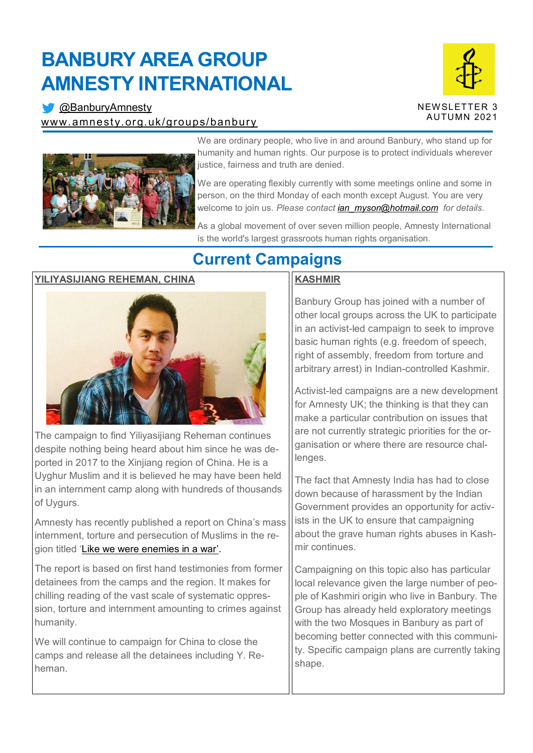# **BANBURY AREA GROUP AMNESTY INTERNATIONAL**

**[@BanburyAmnesty](https://twitter.com/banburyamnesty)** [www.amnesty.org.uk/groups/banbury](http://www.amnesty.org.uk/groups/banbury)





We are ordinary people, who live in and around Banbury, who stand up for humanity and human rights. Our purpose is to protect individuals wherever justice, fairness and truth are denied.

We are operating flexibly currently with some meetings online and some in person, on the third Monday of each month except August. You are very welcome to join us. *Please contact [ian\\_myson@hotmail.com](mailto:ian_myson@hotmail.com) for details.*

As a global movement of over seven million people, Amnesty International is the world's largest grassroots human rights organisation.

### **YILIYASIJIANG REHEMAN, CHINA**



The campaign to find Yiliyasijiang Reheman continues despite nothing being heard about him since he was deported in 2017 to the Xinjiang region of China. He is a Uyghur Muslim and it is believed he may have been held in an internment camp along with hundreds of thousands of Uygurs.

Amnesty has recently published a report on China's mass internment, torture and persecution of Muslims in the region titled '[Like we were enemies in a war](https://www.amnesty.org/en/documents/asa17/4137/2021/ug/)'.

The report is based on first hand testimonies from former detainees from the camps and the region. It makes for chilling reading of the vast scale of systematic oppression, torture and internment amounting to crimes against humanity.

We will continue to campaign for China to close the camps and release all the detainees including Y. Reheman.

## **Current Campaigns**

### **KASHMIR**

Banbury Group has joined with a number of other local groups across the UK to participate in an activist-led campaign to seek to improve basic human rights (e.g. freedom of speech, right of assembly, freedom from torture and arbitrary arrest) in Indian-controlled Kashmir.

Activist-led campaigns are a new development for Amnesty UK; the thinking is that they can make a particular contribution on issues that are not currently strategic priorities for the organisation or where there are resource challenges.

The fact that Amnesty India has had to close down because of harassment by the Indian Government provides an opportunity for activists in the UK to ensure that campaigning about the grave human rights abuses in Kashmir continues.

Campaigning on this topic also has particular local relevance given the large number of people of Kashmiri origin who live in Banbury. The Group has already held exploratory meetings with the two Mosques in Banbury as part of becoming better connected with this community. Specific campaign plans are currently taking shape.